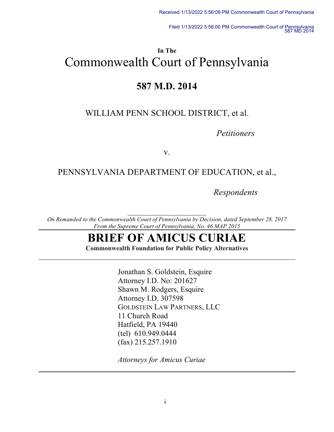Filed 1/13/2022 5:56:00 PM Commonwealth Court of Pennsylvania 587 MD 2014

# **In The** Commonwealth Court of Pennsylvania

# **587 M.D. 2014**

# WILLIAM PENN SCHOOL DISTRICT, et al.

*Petitioners*

v.

## PENNSYLVANIA DEPARTMENT OF EDUCATION, et al.,

*Respondents*

*On Remanded to the Commonwealth Court of Pennsylvania by Decision, dated September 28, 2017 From the Supreme Court of Pennsylvania, No. 46 MAP 2015*

# **BRIEF OF AMICUS CURIAE**

**Commonwealth Foundation for Public Policy Alternatives**

Jonathan S. Goldstein, Esquire Attorney I.D. No: 201627 Shawn M. Rodgers, Esquire Attorney I.D. 307598 GOLDSTEIN LAW PARTNERS, LLC 11 Church Road Hatfield, PA 19440 (tel) 610.949.0444 (fax) 215.257.1910

*Attorneys for Amicus Curiae*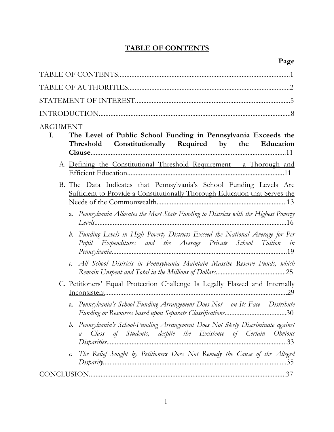# **TABLE OF CONTENTS**

| <b>ARGUMENT</b><br>The Level of Public School Funding in Pennsylvania Exceeds the<br>Ι.<br>Threshold Constitutionally Required by the Education       |
|-------------------------------------------------------------------------------------------------------------------------------------------------------|
| A. Defining the Constitutional Threshold Requirement – a Thorough and                                                                                 |
| B. The Data Indicates that Pennsylvania's School Funding Levels Are<br>Sufficient to Provide a Constitutionally Thorough Education that Serves the    |
| a. Pennsylvania Allocates the Most State Funding to Districts with the Highest Poverty                                                                |
| b. Funding Levels in High Poverty Districts Exceed the National Average for Per<br>Pupil Expenditures and the Average Private School Tuition in       |
| c. All School Districts in Pennsylvania Maintain Massive Reserve Funds, which                                                                         |
| C. Petitioners' Equal Protection Challenge Is Legally Flawed and Internally                                                                           |
| a. Pennsylvania's School Funding Arrangement Does Not - on Its Face - Distribute                                                                      |
| Pennsylvania's School-Funding Arrangement Does Not likely Discriminate against<br>b.<br>a Class of Students, despite the Existence of Certain Obvious |
| The Relief Sought by Petitioners Does Not Remedy the Cause of the Alleged<br>$\mathcal{C}$ .                                                          |
|                                                                                                                                                       |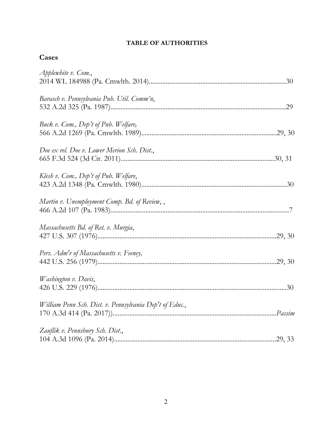### **TABLE OF AUTHORITIES**

| ÷<br>٠. |
|---------|
|---------|

| Applewhite v. Com.,                                     |
|---------------------------------------------------------|
| Barasch v. Pennsylvania Pub. Util. Comm'n,              |
| Buck v. Com., Dep't of Pub. Welfare,                    |
| Doe ex rel. Doe v. Lower Merion Sch. Dist.,             |
| Klesh v. Com., Dep't of Pub. Welfare,                   |
| Martin v. Unemployment Comp. Bd. of Review,,            |
| Massachusetts Bd. of Ret. v. Murgia,                    |
| Pers. Adm'r of Massachusetts v. Feeney,                 |
| Washington v. Davis,                                    |
| William Penn Sch. Dist. v. Pennsylvania Dep't of Educ., |
| Zauflik v. Pennsbury Sch. Dist.,                        |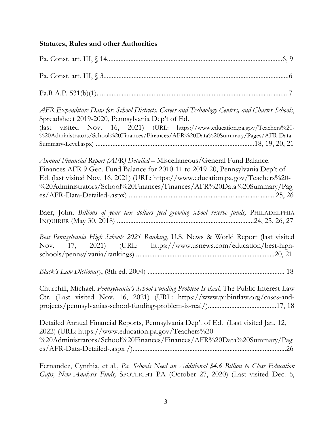## **Statutes, Rules and other Authorities**

| AFR Expenditure Data for: School Districts, Career and Technology Centers, and Charter Schools,<br>Spreadsheet 2019-2020, Pennsylvania Dep't of Ed.<br>(last visited Nov. 16, 2021) (URL: https://www.education.pa.gov/Teachers%20-<br>%20Administrators/School%20Finances/Finances/AFR%20Data%20Summary/Pages/AFR-Data-    |
|-----------------------------------------------------------------------------------------------------------------------------------------------------------------------------------------------------------------------------------------------------------------------------------------------------------------------------|
| Annual Financial Report (AFR) Detailed - Miscellaneous/General Fund Balance.<br>Finances AFR 9 Gen. Fund Balance for 2010-11 to 2019-20, Pennsylvania Dep't of<br>Ed. (last visited Nov. 16, 2021) (URL: https://www.education.pa.gov/Teachers%20-<br>%20Administrators/School%20Finances/Finances/AFR%20Data%20Summary/Pag |
| Baer, John. Billions of your tax dollars feed growing school reserve funds, PHILADELPHIA                                                                                                                                                                                                                                    |
| Best Pennsylvania High Schools 2021 Ranking, U.S. News & World Report (last visited<br>Nov. 17, 2021) (URL: https://www.usnews.com/education/best-high-                                                                                                                                                                     |
|                                                                                                                                                                                                                                                                                                                             |
| Churchill, Michael. Pennsylvania's School Funding Problem Is Real, The Public Interest Law<br>Ctr. (Last visited Nov. 16, 2021) (URL: https://www.pubintlaw.org/cases-and-                                                                                                                                                  |
| Detailed Annual Financial Reports, Pennsylvania Dep't of Ed. (Last visited Jan. 12,<br>2022) (URL: https://www.education.pa.gov/Teachers%20-<br>%20Administrators/School%20Finances/Finances/AFR%20Data%20Summary/Pag                                                                                                       |

Fernandez, Cynthia, et al., *Pa. Schools Need an Additional \$4.6 Billion to Close Education Gaps, New Analysis Finds,* SPOTLIGHT PA (October 27, 2020) (Last visited Dec. 6,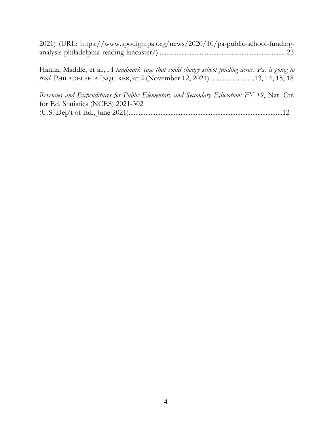2021) (URL: https://www.spotlightpa.org/news/2020/10/pa-public-school-fundinganalysis-philadelphia-reading-lancaster/).............................................................................23

Hanna, Maddie, et al., *A landmark case that could change school funding across Pa. is going to trial,* PHILADELPHIA INQUIRER, at 2 (November 12, 2021)...........................13, 14, 15, 18

*Revenues and Expenditures for Public Elementary and Secondary Education: FY 19*, Nat. Ctr. for Ed. Statistics (NCES) 2021-302 (U.S. Dep't of Ed., June 2021)............................................................................................12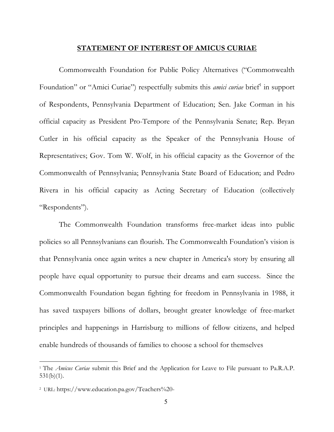#### **STATEMENT OF INTEREST OF AMICUS CURIAE**

Commonwealth Foundation for Public Policy Alternatives ("Commonwealth Foundation" or "Amici Curiae") respectfully submits this *amici curiae* brief<sup>1</sup> in support of Respondents, Pennsylvania Department of Education; Sen. Jake Corman in his official capacity as President Pro-Tempore of the Pennsylvania Senate; Rep. Bryan Cutler in his official capacity as the Speaker of the Pennsylvania House of Representatives; Gov. Tom W. Wolf, in his official capacity as the Governor of the Commonwealth of Pennsylvania; Pennsylvania State Board of Education; and Pedro Rivera in his official capacity as Acting Secretary of Education (collectively "Respondents").

The Commonwealth Foundation transforms free-market ideas into public policies so all Pennsylvanians can flourish. The Commonwealth Foundation's vision is that Pennsylvania once again writes a new chapter in America's story by ensuring all people have equal opportunity to pursue their dreams and earn success. Since the Commonwealth Foundation began fighting for freedom in Pennsylvania in 1988, it has saved taxpayers billions of dollars, brought greater knowledge of free-market principles and happenings in Harrisburg to millions of fellow citizens, and helped enable hundreds of thousands of families to choose a school for themselves

 $\overline{a}$ 

<sup>1</sup> The *Amicus Curiae* submit this Brief and the Application for Leave to File pursuant to Pa.R.A.P. 531(b)(1).

<sup>2</sup> URL: https://www.education.pa.gov/Teachers%20-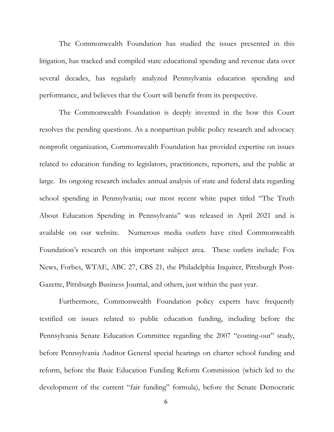The Commonwealth Foundation has studied the issues presented in this litigation, has tracked and compiled state educational spending and revenue data over several decades, has regularly analyzed Pennsylvania education spending and performance, and believes that the Court will benefit from its perspective.

The Commonwealth Foundation is deeply invested in the how this Court resolves the pending questions. As a nonpartisan public policy research and advocacy nonprofit organization, Commonwealth Foundation has provided expertise on issues related to education funding to legislators, practitioners, reporters, and the public at large. Its ongoing research includes annual analysis of state and federal data regarding school spending in Pennsylvania; our most recent white paper titled "The Truth About Education Spending in Pennsylvania" was released in April 2021 and is available on our website. Numerous media outlets have cited Commonwealth Foundation's research on this important subject area. These outlets include: Fox News, Forbes, WTAE, ABC 27, CBS 21, the Philadelphia Inquirer, Pittsburgh Post-Gazette, Pittsburgh Business Journal, and others, just within the past year.

Furthermore, Commonwealth Foundation policy experts have frequently testified on issues related to public education funding, including before the Pennsylvania Senate Education Committee regarding the 2007 "costing-out" study, before Pennsylvania Auditor General special hearings on charter school funding and reform, before the Basic Education Funding Reform Commission (which led to the development of the current "fair funding" formula), before the Senate Democratic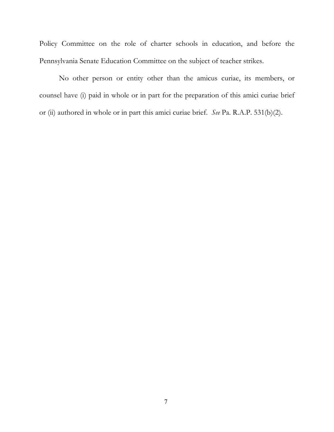Policy Committee on the role of charter schools in education, and before the Pennsylvania Senate Education Committee on the subject of teacher strikes.

No other person or entity other than the amicus curiae, its members, or counsel have (i) paid in whole or in part for the preparation of this amici curiae brief or (ii) authored in whole or in part this amici curiae brief. *See* Pa. R.A.P. 531(b)(2).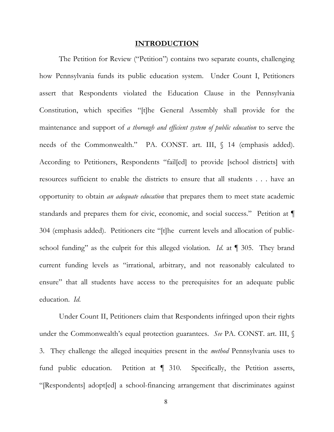#### **INTRODUCTION**

The Petition for Review ("Petition") contains two separate counts, challenging how Pennsylvania funds its public education system. Under Count I, Petitioners assert that Respondents violated the Education Clause in the Pennsylvania Constitution, which specifies "[t]he General Assembly shall provide for the maintenance and support of *a thorough and efficient system of public education* to serve the needs of the Commonwealth." PA. CONST. art. III,  $\int$  14 (emphasis added). According to Petitioners, Respondents "fail[ed] to provide [school districts] with resources sufficient to enable the districts to ensure that all students . . . have an opportunity to obtain *an adequate education* that prepares them to meet state academic standards and prepares them for civic, economic, and social success." Petition at  $\P$ 304 (emphasis added). Petitioners cite "[t]he current levels and allocation of publicschool funding" as the culprit for this alleged violation. *Id*. at ¶ 305. They brand current funding levels as "irrational, arbitrary, and not reasonably calculated to ensure" that all students have access to the prerequisites for an adequate public education. *Id*.

Under Count II, Petitioners claim that Respondents infringed upon their rights under the Commonwealth's equal protection guarantees. *See* PA. CONST. art. III, § 3. They challenge the alleged inequities present in the *method* Pennsylvania uses to fund public education. Petition at ¶ 310. Specifically, the Petition asserts, "[Respondents] adopt[ed] a school-financing arrangement that discriminates against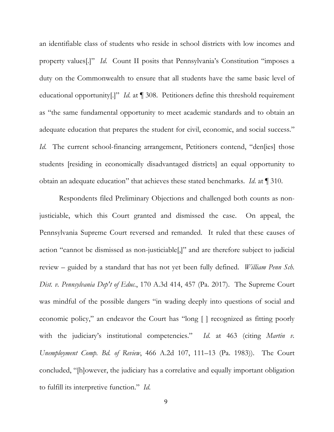an identifiable class of students who reside in school districts with low incomes and property values[.]" *Id*. Count II posits that Pennsylvania's Constitution "imposes a duty on the Commonwealth to ensure that all students have the same basic level of educational opportunity[.]" *Id*. at ¶ 308. Petitioners define this threshold requirement as "the same fundamental opportunity to meet academic standards and to obtain an adequate education that prepares the student for civil, economic, and social success." *Id.* The current school-financing arrangement, Petitioners contend, "den[ies] those students [residing in economically disadvantaged districts] an equal opportunity to obtain an adequate education" that achieves these stated benchmarks. *Id*. at ¶ 310.

Respondents filed Preliminary Objections and challenged both counts as nonjusticiable, which this Court granted and dismissed the case. On appeal, the Pennsylvania Supreme Court reversed and remanded. It ruled that these causes of action "cannot be dismissed as non-justiciable[,]" and are therefore subject to judicial review – guided by a standard that has not yet been fully defined. *William Penn Sch. Dist. v. Pennsylvania Dep't of Educ.*, 170 A.3d 414, 457 (Pa. 2017). The Supreme Court was mindful of the possible dangers "in wading deeply into questions of social and economic policy," an endeavor the Court has "long [ ] recognized as fitting poorly with the judiciary's institutional competencies." *Id.* at 463 (citing *Martin v. Unemployment Comp. Bd. of Review*, 466 A.2d 107, 111–13 (Pa. 1983)). The Court concluded, "[h]owever, the judiciary has a correlative and equally important obligation to fulfill its interpretive function." *Id*.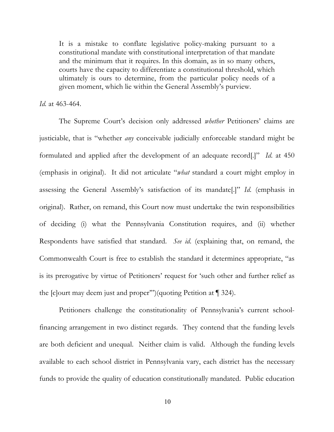It is a mistake to conflate legislative policy-making pursuant to a constitutional mandate with constitutional interpretation of that mandate and the minimum that it requires. In this domain, as in so many others, courts have the capacity to differentiate a constitutional threshold, which ultimately is ours to determine, from the particular policy needs of a given moment, which lie within the General Assembly's purview.

#### *Id.* at 463-464.

The Supreme Court's decision only addressed *whether* Petitioners' claims are justiciable, that is "whether *any* conceivable judicially enforceable standard might be formulated and applied after the development of an adequate record[.]" *Id*. at 450 (emphasis in original). It did not articulate "*what* standard a court might employ in assessing the General Assembly's satisfaction of its mandate[.]" *Id*. (emphasis in original). Rather, on remand, this Court now must undertake the twin responsibilities of deciding (i) what the Pennsylvania Constitution requires, and (ii) whether Respondents have satisfied that standard. *See id*. (explaining that, on remand, the Commonwealth Court is free to establish the standard it determines appropriate, "as is its prerogative by virtue of Petitioners' request for 'such other and further relief as the [c]ourt may deem just and proper'")(quoting Petition at ¶ 324).

Petitioners challenge the constitutionality of Pennsylvania's current schoolfinancing arrangement in two distinct regards. They contend that the funding levels are both deficient and unequal. Neither claim is valid. Although the funding levels available to each school district in Pennsylvania vary, each district has the necessary funds to provide the quality of education constitutionally mandated. Public education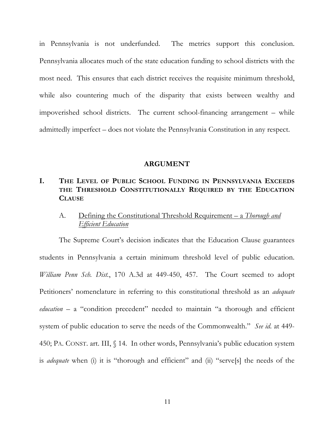in Pennsylvania is not underfunded. The metrics support this conclusion. Pennsylvania allocates much of the state education funding to school districts with the most need. This ensures that each district receives the requisite minimum threshold, while also countering much of the disparity that exists between wealthy and impoverished school districts. The current school-financing arrangement – while admittedly imperfect – does not violate the Pennsylvania Constitution in any respect.

#### **ARGUMENT**

## **I. THE LEVEL OF PUBLIC SCHOOL FUNDING IN PENNSYLVANIA EXCEEDS THE THRESHOLD CONSTITUTIONALLY REQUIRED BY THE EDUCATION CLAUSE**

### A. Defining the Constitutional Threshold Requirement – a *Thorough and Efficient Education*

The Supreme Court's decision indicates that the Education Clause guarantees students in Pennsylvania a certain minimum threshold level of public education. *William Penn Sch. Dist.*, 170 A.3d at 449-450, 457. The Court seemed to adopt Petitioners' nomenclature in referring to this constitutional threshold as an *adequate education* – a "condition precedent" needed to maintain "a thorough and efficient system of public education to serve the needs of the Commonwealth." *See id*. at 449- 450; PA. CONST. art. III, § 14. In other words, Pennsylvania's public education system is *adequate* when (i) it is "thorough and efficient" and (ii) "serve[s] the needs of the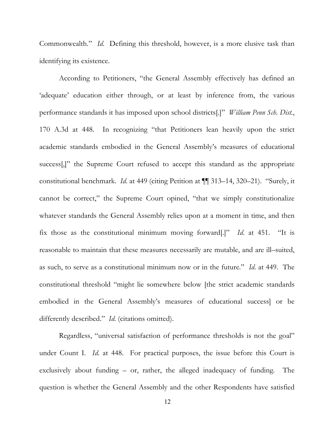Commonwealth." *Id*. Defining this threshold, however, is a more elusive task than identifying its existence.

According to Petitioners, "the General Assembly effectively has defined an 'adequate' education either through, or at least by inference from, the various performance standards it has imposed upon school districts[.]" *William Penn Sch. Dist.*, 170 A.3d at 448. In recognizing "that Petitioners lean heavily upon the strict academic standards embodied in the General Assembly's measures of educational success<sup>[,]"</sup> the Supreme Court refused to accept this standard as the appropriate constitutional benchmark. *Id*. at 449 (citing Petition at ¶¶ 313–14, 320–21). "Surely, it cannot be correct," the Supreme Court opined, "that we simply constitutionalize whatever standards the General Assembly relies upon at a moment in time, and then fix those as the constitutional minimum moving forward[.]" *Id*. at 451. "It is reasonable to maintain that these measures necessarily are mutable, and are ill–suited, as such, to serve as a constitutional minimum now or in the future." *Id*. at 449. The constitutional threshold "might lie somewhere below [the strict academic standards embodied in the General Assembly's measures of educational success] or be differently described." *Id*. (citations omitted).

Regardless, "universal satisfaction of performance thresholds is not the goal" under Count I. *Id*. at 448. For practical purposes, the issue before this Court is exclusively about funding – or, rather, the alleged inadequacy of funding. The question is whether the General Assembly and the other Respondents have satisfied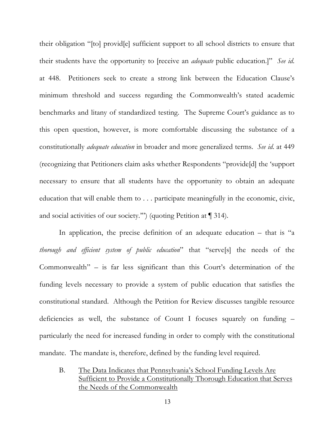their obligation "[to] provid[e] sufficient support to all school districts to ensure that their students have the opportunity to [receive an *adequate* public education.]" *See id*. at 448. Petitioners seek to create a strong link between the Education Clause's minimum threshold and success regarding the Commonwealth's stated academic benchmarks and litany of standardized testing. The Supreme Court's guidance as to this open question, however, is more comfortable discussing the substance of a constitutionally *adequate education* in broader and more generalized terms. *See id*. at 449 (recognizing that Petitioners claim asks whether Respondents "provide[d] the 'support necessary to ensure that all students have the opportunity to obtain an adequate education that will enable them to . . . participate meaningfully in the economic, civic, and social activities of our society.'") (quoting Petition at ¶ 314).

In application, the precise definition of an adequate education – that is "a *thorough and efficient system of public education*" that "serve[s] the needs of the Commonwealth" – is far less significant than this Court's determination of the funding levels necessary to provide a system of public education that satisfies the constitutional standard. Although the Petition for Review discusses tangible resource deficiencies as well, the substance of Count I focuses squarely on funding – particularly the need for increased funding in order to comply with the constitutional mandate. The mandate is, therefore, defined by the funding level required.

B. The Data Indicates that Pennsylvania's School Funding Levels Are Sufficient to Provide a Constitutionally Thorough Education that Serves the Needs of the Commonwealth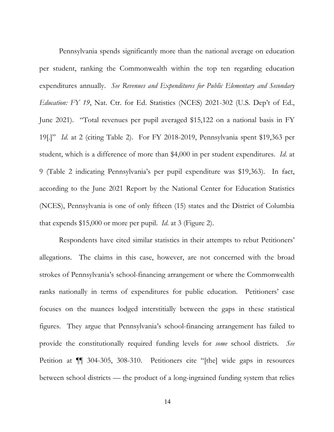Pennsylvania spends significantly more than the national average on education per student, ranking the Commonwealth within the top ten regarding education expenditures annually. *See Revenues and Expenditures for Public Elementary and Secondary Education: FY 19*, Nat. Ctr. for Ed. Statistics (NCES) 2021-302 (U.S. Dep't of Ed., June 2021). "Total revenues per pupil averaged \$15,122 on a national basis in FY 19[.]" *Id*. at 2 (citing Table 2). For FY 2018-2019, Pennsylvania spent \$19,363 per student, which is a difference of more than \$4,000 in per student expenditures. *Id*. at 9 (Table 2 indicating Pennsylvania's per pupil expenditure was \$19,363). In fact, according to the June 2021 Report by the National Center for Education Statistics (NCES), Pennsylvania is one of only fifteen (15) states and the District of Columbia that expends \$15,000 or more per pupil. *Id*. at 3 (Figure 2).

Respondents have cited similar statistics in their attempts to rebut Petitioners' allegations. The claims in this case, however, are not concerned with the broad strokes of Pennsylvania's school-financing arrangement or where the Commonwealth ranks nationally in terms of expenditures for public education. Petitioners' case focuses on the nuances lodged interstitially between the gaps in these statistical figures. They argue that Pennsylvania's school-financing arrangement has failed to provide the constitutionally required funding levels for *some* school districts. *See*  Petition at ¶¶ 304-305, 308-310. Petitioners cite "[the] wide gaps in resources between school districts — the product of a long-ingrained funding system that relies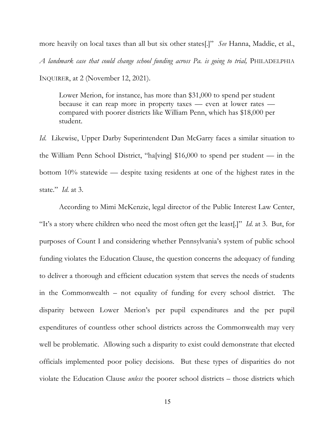more heavily on local taxes than all but six other states[.]" *See* Hanna, Maddie, et al., *A landmark case that could change school funding across Pa. is going to trial,* PHILADELPHIA INQUIRER, at 2 (November 12, 2021).

Lower Merion, for instance, has more than \$31,000 to spend per student because it can reap more in property taxes — even at lower rates compared with poorer districts like William Penn, which has \$18,000 per student.

*Id*. Likewise, Upper Darby Superintendent Dan McGarry faces a similar situation to the William Penn School District, "ha[ving] \$16,000 to spend per student — in the bottom 10% statewide — despite taxing residents at one of the highest rates in the state." *Id*. at 3.

According to Mimi McKenzie, legal director of the Public Interest Law Center, "It's a story where children who need the most often get the least[.]" *Id*. at 3. But, for purposes of Count I and considering whether Pennsylvania's system of public school funding violates the Education Clause, the question concerns the adequacy of funding to deliver a thorough and efficient education system that serves the needs of students in the Commonwealth – not equality of funding for every school district. The disparity between Lower Merion's per pupil expenditures and the per pupil expenditures of countless other school districts across the Commonwealth may very well be problematic. Allowing such a disparity to exist could demonstrate that elected officials implemented poor policy decisions. But these types of disparities do not violate the Education Clause *unless* the poorer school districts – those districts which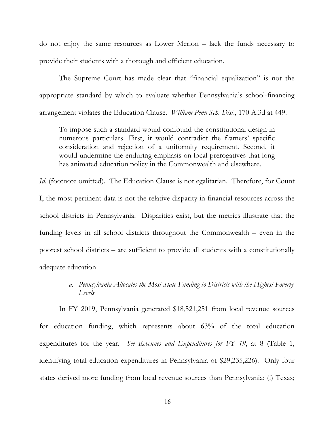do not enjoy the same resources as Lower Merion – lack the funds necessary to provide their students with a thorough and efficient education.

The Supreme Court has made clear that "financial equalization" is not the appropriate standard by which to evaluate whether Pennsylvania's school-financing arrangement violates the Education Clause. *William Penn Sch. Dist*., 170 A.3d at 449.

To impose such a standard would confound the constitutional design in numerous particulars. First, it would contradict the framers' specific consideration and rejection of a uniformity requirement. Second, it would undermine the enduring emphasis on local prerogatives that long has animated education policy in the Commonwealth and elsewhere.

*Id.* (footnote omitted). The Education Clause is not egalitarian. Therefore, for Count I, the most pertinent data is not the relative disparity in financial resources across the school districts in Pennsylvania. Disparities exist, but the metrics illustrate that the funding levels in all school districts throughout the Commonwealth – even in the poorest school districts – are sufficient to provide all students with a constitutionally adequate education.

## *a. Pennsylvania Allocates the Most State Funding to Districts with the Highest Poverty Levels*

In FY 2019, Pennsylvania generated \$18,521,251 from local revenue sources for education funding, which represents about 63% of the total education expenditures for the year. *See Revenues and Expenditures for FY 19*, at 8 (Table 1, identifying total education expenditures in Pennsylvania of \$29,235,226). Only four states derived more funding from local revenue sources than Pennsylvania: (i) Texas;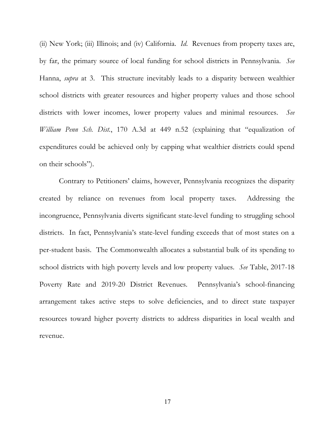(ii) New York; (iii) Illinois; and (iv) California. *Id*. Revenues from property taxes are, by far, the primary source of local funding for school districts in Pennsylvania. *See* Hanna, *supra* at 3. This structure inevitably leads to a disparity between wealthier school districts with greater resources and higher property values and those school districts with lower incomes, lower property values and minimal resources. *See William Penn Sch. Dist.*, 170 A.3d at 449 n.52 (explaining that "equalization of expenditures could be achieved only by capping what wealthier districts could spend on their schools").

Contrary to Petitioners' claims, however, Pennsylvania recognizes the disparity created by reliance on revenues from local property taxes. Addressing the incongruence, Pennsylvania diverts significant state-level funding to struggling school districts. In fact, Pennsylvania's state-level funding exceeds that of most states on a per-student basis. The Commonwealth allocates a substantial bulk of its spending to school districts with high poverty levels and low property values. *See* Table, 2017-18 Poverty Rate and 2019-20 District Revenues. Pennsylvania's school-financing arrangement takes active steps to solve deficiencies, and to direct state taxpayer resources toward higher poverty districts to address disparities in local wealth and revenue.

17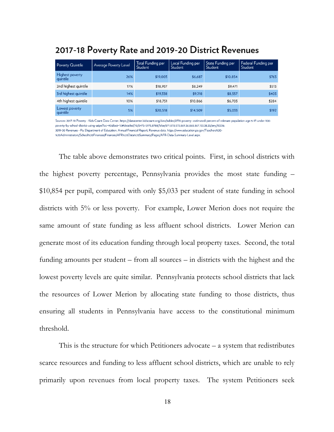| <b>Poverty Quintile</b>     | Average Poverty Level | Total Funding per<br>Student | Local Funding per<br>Student | State Funding per<br>Student | Federal Funding per<br>Student |
|-----------------------------|-----------------------|------------------------------|------------------------------|------------------------------|--------------------------------|
| Highest poverty<br>quintile | 26%                   | \$19,003                     | \$6,687                      | \$10,854                     | \$763                          |
| 2nd highest quintile        | 17%                   | \$18.937                     | \$8.249                      | \$9.471                      | \$513                          |
| 3rd highest quintile        | 14%                   | \$19,338                     | \$9,218                      | \$8,557                      | \$403                          |
| 4th highest quintile        | 10%                   | \$18,751                     | \$10,866                     | \$6,703                      | \$284                          |
| Lowest poverty<br>quintile  | 5%                    | \$20,518                     | \$14,509                     | \$5,033                      | \$192                          |

# 2017-18 Poverty Rate and 2019-20 District Revenues

Sources: 2017-18 Poverty - Kids Count Data Center, https://datacenter.kidscount.org/data/tables/2778-poverty--estimated-percent-of-relevant-population-age-5-17-under-100poverty-by-school-district-using-saipe?loc=40&loct=10#detailed/10/5475-5975,8788/false/871,870,573,869,36,868,867,133,38,35/any/10226; 2019-20 Revenues - Pa. Department of Education, Annual Financial Report, Revenue data, https://www.education.pa.gov/Teachers%20-%20Administrators/School%20Finances/Finances/AFR%20Data%20Summary/Pages/AFR-Data-Summary-Level.aspx

The table above demonstrates two critical points. First, in school districts with the highest poverty percentage, Pennsylvania provides the most state funding – \$10,854 per pupil, compared with only \$5,033 per student of state funding in school districts with 5% or less poverty. For example, Lower Merion does not require the same amount of state funding as less affluent school districts. Lower Merion can generate most of its education funding through local property taxes. Second, the total funding amounts per student – from all sources – in districts with the highest and the lowest poverty levels are quite similar. Pennsylvania protects school districts that lack the resources of Lower Merion by allocating state funding to those districts, thus ensuring all students in Pennsylvania have access to the constitutional minimum threshold.

This is the structure for which Petitioners advocate – a system that redistributes scarce resources and funding to less affluent school districts, which are unable to rely primarily upon revenues from local property taxes. The system Petitioners seek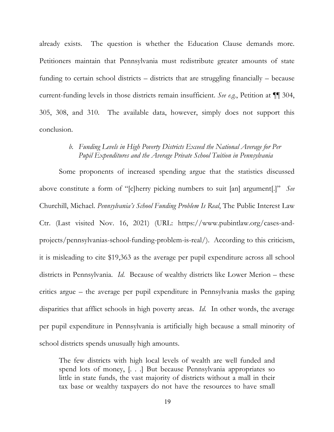already exists. The question is whether the Education Clause demands more. Petitioners maintain that Pennsylvania must redistribute greater amounts of state funding to certain school districts – districts that are struggling financially – because current-funding levels in those districts remain insufficient. *See e.g.*, Petition at ¶¶ 304, 305, 308, and 310. The available data, however, simply does not support this conclusion.

#### *b. Funding Levels in High Poverty Districts Exceed the National Average for Per Pupil Expenditures and the Average Private School Tuition in Pennsylvania*

Some proponents of increased spending argue that the statistics discussed above constitute a form of "[c]herry picking numbers to suit [an] argument[.]" *See* Churchill, Michael. *Pennsylvania's School Funding Problem Is Real*, The Public Interest Law Ctr. (Last visited Nov. 16, 2021) (URL: https://www.pubintlaw.org/cases-andprojects/pennsylvanias-school-funding-problem-is-real/). According to this criticism, it is misleading to cite \$19,363 as the average per pupil expenditure across all school districts in Pennsylvania. *Id*. Because of wealthy districts like Lower Merion – these critics argue – the average per pupil expenditure in Pennsylvania masks the gaping disparities that afflict schools in high poverty areas. *Id*. In other words, the average per pupil expenditure in Pennsylvania is artificially high because a small minority of school districts spends unusually high amounts.

The few districts with high local levels of wealth are well funded and spend lots of money, [. . .] But because Pennsylvania appropriates so little in state funds, the vast majority of districts without a mall in their tax base or wealthy taxpayers do not have the resources to have small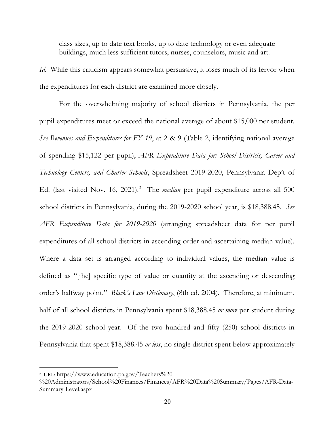class sizes, up to date text books, up to date technology or even adequate buildings, much less sufficient tutors, nurses, counselors, music and art.

*Id.* While this criticism appears somewhat persuasive, it loses much of its fervor when the expenditures for each district are examined more closely.

For the overwhelming majority of school districts in Pennsylvania, the per pupil expenditures meet or exceed the national average of about \$15,000 per student. *See Revenues and Expenditures for FY 19*, at 2 & 9 (Table 2, identifying national average of spending \$15,122 per pupil); *AFR Expenditure Data for: School Districts, Career and Technology Centers, and Charter Schools*, Spreadsheet 2019-2020, Pennsylvania Dep't of Ed. (last visited Nov. 16, 2021).<sup>2</sup> The *median* per pupil expenditure across all 500 school districts in Pennsylvania, during the 2019-2020 school year, is \$18,388.45. *See AFR Expenditure Data for 2019-2020* (arranging spreadsheet data for per pupil expenditures of all school districts in ascending order and ascertaining median value). Where a data set is arranged according to individual values, the median value is defined as "[the] specific type of value or quantity at the ascending or descending order's halfway point." *Black's Law Dictionary*, (8th ed. 2004). Therefore, at minimum, half of all school districts in Pennsylvania spent \$18,388.45 *or more* per student during the 2019-2020 school year. Of the two hundred and fifty (250) school districts in Pennsylvania that spent \$18,388.45 *or less*, no single district spent below approximately

 $\overline{a}$ 

<sup>2</sup> URL: https://www.education.pa.gov/Teachers%20-

<sup>%20</sup>Administrators/School%20Finances/Finances/AFR%20Data%20Summary/Pages/AFR-Data-Summary-Level.aspx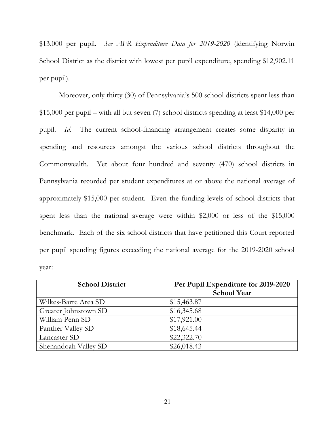\$13,000 per pupil. *See AFR Expenditure Data for 2019-2020* (identifying Norwin School District as the district with lowest per pupil expenditure, spending \$12,902.11 per pupil).

Moreover, only thirty (30) of Pennsylvania's 500 school districts spent less than \$15,000 per pupil – with all but seven (7) school districts spending at least \$14,000 per pupil. *Id*. The current school-financing arrangement creates some disparity in spending and resources amongst the various school districts throughout the Commonwealth. Yet about four hundred and seventy (470) school districts in Pennsylvania recorded per student expenditures at or above the national average of approximately \$15,000 per student. Even the funding levels of school districts that spent less than the national average were within \$2,000 or less of the \$15,000 benchmark. Each of the six school districts that have petitioned this Court reported per pupil spending figures exceeding the national average for the 2019-2020 school year:

| <b>School District</b> | Per Pupil Expenditure for 2019-2020<br><b>School Year</b> |
|------------------------|-----------------------------------------------------------|
| Wilkes-Barre Area SD   | \$15,463.87                                               |
| Greater Johnstown SD   | \$16,345.68                                               |
| William Penn SD        | \$17,921.00                                               |
| Panther Valley SD      | \$18,645.44                                               |
| Lancaster SD           | \$22,322.70                                               |
| Shenandoah Valley SD   | \$26,018.43                                               |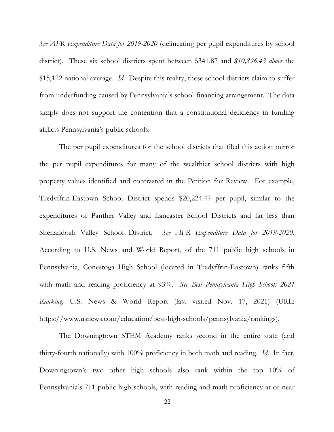*See AFR Expenditure Data for 2019-2020* (delineating per pupil expenditures by school district). These six school districts spent between \$341.87 and *\$10,896.43 above* the \$15,122 national average. *Id*. Despite this reality, these school districts claim to suffer from underfunding caused by Pennsylvania's school-financing arrangement. The data simply does not support the contention that a constitutional deficiency in funding afflicts Pennsylvania's public schools.

The per pupil expenditures for the school districts that filed this action mirror the per pupil expenditures for many of the wealthier school districts with high property values identified and contrasted in the Petition for Review. For example, Tredyffrin-Eastown School District spends \$20,224.47 per pupil, similar to the expenditures of Panther Valley and Lancaster School Districts and far less than Shenandoah Valley School District. *See AFR Expenditure Data for 2019-2020*. According to U.S. News and World Report, of the 711 public high schools in Pennsylvania, Conestoga High School (located in Tredyffrin-Eastown) ranks fifth with math and reading proficiency at 93%. *See Best Pennsylvania High Schools 2021 Ranking*, U.S. News & World Report (last visited Nov. 17, 2021) (URL: https://www.usnews.com/education/best-high-schools/pennsylvania/rankings).

The Downingtown STEM Academy ranks second in the entire state (and thirty-fourth nationally) with 100% proficiency in both math and reading. *Id*. In fact, Downingtown's two other high schools also rank within the top 10% of Pennsylvania's 711 public high schools, with reading and math proficiency at or near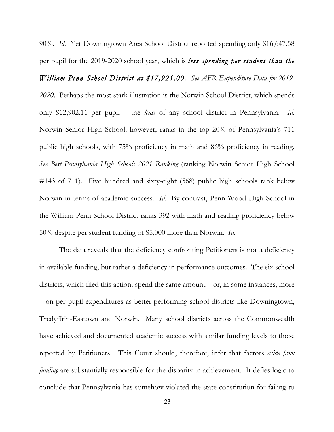90%. *Id*. Yet Downingtown Area School District reported spending only \$16,647.58 per pupil for the 2019-2020 school year, which is *less spending per student than the* 

*William Penn School District at \$17,921.00*. *See AFR Expenditure Data for 2019- 2020*. Perhaps the most stark illustration is the Norwin School District, which spends only \$12,902.11 per pupil – the *least* of any school district in Pennsylvania. *Id*. Norwin Senior High School, however, ranks in the top 20% of Pennsylvania's 711 public high schools, with 75% proficiency in math and 86% proficiency in reading. *See Best Pennsylvania High Schools 2021 Ranking* (ranking Norwin Senior High School #143 of 711). Five hundred and sixty-eight (568) public high schools rank below Norwin in terms of academic success. *Id*. By contrast, Penn Wood High School in the William Penn School District ranks 392 with math and reading proficiency below 50% despite per student funding of \$5,000 more than Norwin. *Id*.

The data reveals that the deficiency confronting Petitioners is not a deficiency in available funding, but rather a deficiency in performance outcomes. The six school districts, which filed this action, spend the same amount – or, in some instances, more – on per pupil expenditures as better-performing school districts like Downingtown, Tredyffrin-Eastown and Norwin. Many school districts across the Commonwealth have achieved and documented academic success with similar funding levels to those reported by Petitioners. This Court should, therefore, infer that factors *aside from funding* are substantially responsible for the disparity in achievement. It defies logic to conclude that Pennsylvania has somehow violated the state constitution for failing to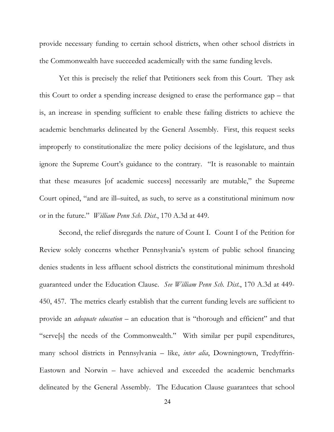provide necessary funding to certain school districts, when other school districts in the Commonwealth have succeeded academically with the same funding levels.

Yet this is precisely the relief that Petitioners seek from this Court. They ask this Court to order a spending increase designed to erase the performance gap – that is, an increase in spending sufficient to enable these failing districts to achieve the academic benchmarks delineated by the General Assembly. First, this request seeks improperly to constitutionalize the mere policy decisions of the legislature, and thus ignore the Supreme Court's guidance to the contrary. "It is reasonable to maintain that these measures [of academic success] necessarily are mutable," the Supreme Court opined, "and are ill–suited, as such, to serve as a constitutional minimum now or in the future." *William Penn Sch. Dist.*, 170 A.3d at 449.

Second, the relief disregards the nature of Count I. Count I of the Petition for Review solely concerns whether Pennsylvania's system of public school financing denies students in less affluent school districts the constitutional minimum threshold guaranteed under the Education Clause. *See William Penn Sch. Dist.*, 170 A.3d at 449- 450, 457. The metrics clearly establish that the current funding levels are sufficient to provide an *adequate education* – an education that is "thorough and efficient" and that "serve[s] the needs of the Commonwealth." With similar per pupil expenditures, many school districts in Pennsylvania – like, *inter alia*, Downingtown, Tredyffrin-Eastown and Norwin – have achieved and exceeded the academic benchmarks delineated by the General Assembly. The Education Clause guarantees that school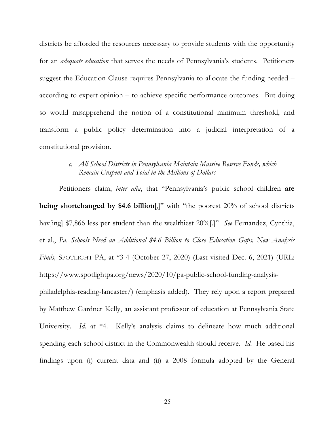districts be afforded the resources necessary to provide students with the opportunity for an *adequate education* that serves the needs of Pennsylvania's students. Petitioners suggest the Education Clause requires Pennsylvania to allocate the funding needed – according to expert opinion – to achieve specific performance outcomes. But doing so would misapprehend the notion of a constitutional minimum threshold, and transform a public policy determination into a judicial interpretation of a constitutional provision.

#### *c. All School Districts in Pennsylvania Maintain Massive Reserve Funds, which Remain Unspent and Total in the Millions of Dollars*

Petitioners claim, *inter alia*, that "Pennsylvania's public school children **are being shortchanged by \$4.6 billion**[,]" with "the poorest 20% of school districts hav[ing] \$7,866 less per student than the wealthiest 20%[.]" *See* Fernandez, Cynthia, et al., *Pa. Schools Need an Additional \$4.6 Billion to Close Education Gaps, New Analysis Finds,* SPOTLIGHT PA, at \*3-4 (October 27, 2020) (Last visited Dec. 6, 2021) (URL: https://www.spotlightpa.org/news/2020/10/pa-public-school-funding-analysisphiladelphia-reading-lancaster/) (emphasis added). They rely upon a report prepared by Matthew Gardner Kelly, an assistant professor of education at Pennsylvania State University. *Id*. at \*4. Kelly's analysis claims to delineate how much additional spending each school district in the Commonwealth should receive. *Id*. He based his

findings upon (i) current data and (ii) a 2008 formula adopted by the General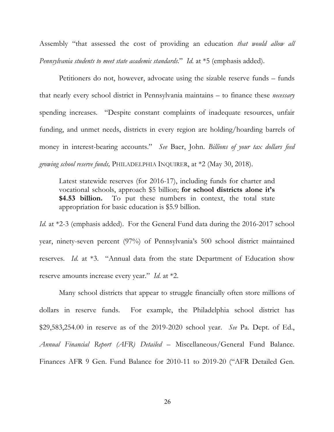Assembly "that assessed the cost of providing an education *that would allow all Pennsylvania students to meet state academic standards*." *Id*. at \*5 (emphasis added).

Petitioners do not, however, advocate using the sizable reserve funds – funds that nearly every school district in Pennsylvania maintains – to finance these *necessary* spending increases. "Despite constant complaints of inadequate resources, unfair funding, and unmet needs, districts in every region are holding/hoarding barrels of money in interest-bearing accounts." *See* Baer, John. *Billions of your tax dollars feed growing school reserve funds,* PHILADELPHIA INQUIRER, at \*2 (May 30, 2018).

Latest statewide reserves (for 2016-17), including funds for charter and vocational schools, approach \$5 billion; **for school districts alone it's \$4.53 billion.** To put these numbers in context, the total state appropriation for basic education is \$5.9 billion.

*Id.* at \*2-3 (emphasis added). For the General Fund data during the 2016-2017 school year, ninety-seven percent (97%) of Pennsylvania's 500 school district maintained reserves. *Id*. at \*3. "Annual data from the state Department of Education show reserve amounts increase every year." *Id*. at \*2.

Many school districts that appear to struggle financially often store millions of dollars in reserve funds. For example, the Philadelphia school district has \$29,583,254.00 in reserve as of the 2019-2020 school year. *See* Pa. Dept. of Ed., *Annual Financial Report (AFR) Detailed* – Miscellaneous/General Fund Balance. Finances AFR 9 Gen. Fund Balance for 2010-11 to 2019-20 ("AFR Detailed Gen.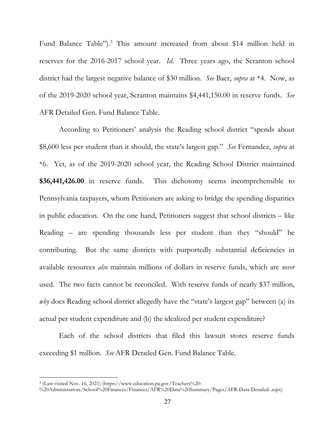Fund Balance Table").<sup>3</sup> This amount increased from about \$14 million held in reserves for the 2016-2017 school year. *Id*. Three years ago, the Scranton school district had the largest negative balance of \$30 million. *See* Baer, *supra* at \*4. Now, as of the 2019-2020 school year, Scranton maintains \$4,441,150.00 in reserve funds. *See* AFR Detailed Gen. Fund Balance Table.

According to Petitioners' analysis the Reading school district "spends about \$8,600 less per student than it should, the state's largest gap." *See* Fernandez, *supra* at \*6. Yet, as of the 2019-2020 school year, the Reading School District maintained **\$36,441,426.00** in reserve funds. This dichotomy seems incomprehensible to Pennsylvania taxpayers, whom Petitioners are asking to bridge the spending disparities in public education. On the one hand, Petitioners suggest that school districts – like Reading – are spending thousands less per student than they "should" be contributing. But the same districts with purportedly substantial deficiencies in available resources *also* maintain millions of dollars in reserve funds, which are *never* used. The two facts cannot be reconciled. With reserve funds of nearly \$37 million, *why* does Reading school district allegedly have the "state's largest gap" between (a) its actual per student expenditure and (b) the idealized per student expenditure?

Each of the school districts that filed this lawsuit stores reserve funds exceeding \$1 million. *See* AFR Detailed Gen. Fund Balance Table.

 $\overline{a}$ 

<sup>3</sup> (Last visited Nov. 16, 2021) (https://www.education.pa.gov/Teachers%20-

<sup>%20</sup>Administrators/School%20Finances/Finances/AFR%20Data%20Summary/Pages/AFR-Data-Detailed-.aspx)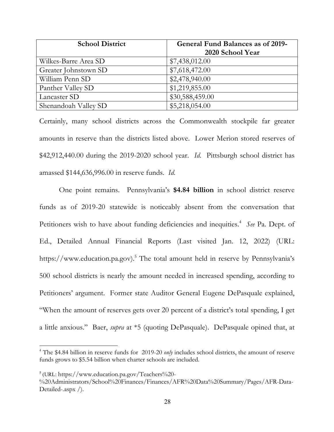| <b>School District</b> | <b>General Fund Balances as of 2019-</b> |
|------------------------|------------------------------------------|
|                        | 2020 School Year                         |
| Wilkes-Barre Area SD   | \$7,438,012.00                           |
| Greater Johnstown SD   | \$7,618,472.00                           |
| William Penn SD        | \$2,478,940.00                           |
| Panther Valley SD      | \$1,219,855.00                           |
| Lancaster SD           | \$30,588,459.00                          |
| Shenandoah Valley SD   | \$5,218,054.00                           |

Certainly, many school districts across the Commonwealth stockpile far greater amounts in reserve than the districts listed above. Lower Merion stored reserves of \$42,912,440.00 during the 2019-2020 school year. *Id*. Pittsburgh school district has amassed \$144,636,996.00 in reserve funds. *Id*.

One point remains. Pennsylvania's **\$4.84 billion** in school district reserve funds as of 2019-20 statewide is noticeably absent from the conversation that Petitioners wish to have about funding deficiencies and inequities.<sup>4</sup> See Pa. Dept. of Ed., Detailed Annual Financial Reports (Last visited Jan. 12, 2022) (URL: https://www.education.pa.gov).<sup>5</sup> The total amount held in reserve by Pennsylvania's 500 school districts is nearly the amount needed in increased spending, according to Petitioners' argument. Former state Auditor General Eugene DePasquale explained, "When the amount of reserves gets over 20 percent of a district's total spending, I get a little anxious." Baer, *supra* at \*5 (quoting DePasquale). DePasquale opined that, at

 $\overline{a}$ 

<sup>4</sup> The \$4.84 billion in reserve funds for 2019-20 *only* includes school districts, the amount of reserve funds grows to \$5.54 billion when charter schools are included.

 $<sup>5</sup>$  (URL: https://www.education.pa.gov/Teachers%20-</sup>

<sup>%20</sup>Administrators/School%20Finances/Finances/AFR%20Data%20Summary/Pages/AFR-Data-Detailed-.aspx /).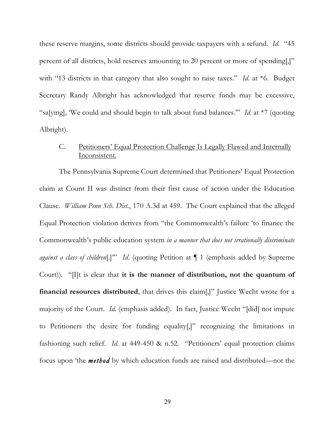these reserve margins, some districts should provide taxpayers with a refund. *Id*. "45 percent of all districts, hold reserves amounting to 20 percent or more of spending[,]" with "13 districts in that category that also sought to raise taxes." *Id.* at  $*6$ . Budget Secretary Randy Albright has acknowledged that reserve funds may be excessive, "sa[ying], 'We could and should begin to talk about fund balances.'" *Id*. at \*7 (quoting Albright).

## C. Petitioners' Equal Protection Challenge Is Legally Flawed and Internally Inconsistent.

The Pennsylvania Supreme Court determined that Petitioners' Equal Protection claim at Count II was distinct from their first cause of action under the Education Clause. *William Penn Sch. Dist.*, 170 A.3d at 459. The Court explained that the alleged Equal Protection violation derives from "the Commonwealth's failure 'to finance the Commonwealth's public education system *in a manner that does not irrationally discriminate against a class of children*[.]'" *Id*. (quoting Petition at ¶ 1 (emphasis added by Supreme Court)). "[I]t is clear that **it is the manner of distribution, not the quantum of financial resources distributed**, that drives this claim[,]" Justice Wecht wrote for a majority of the Court. *Id*. (emphasis added). In fact, Justice Wecht "[did] not impute to Petitioners the desire for funding equality[,]" recognizing the limitations in fashioning such relief. *Id*. at 449-450 & n.52. "Petitioners' equal protection claims focus upon 'the *method* by which education funds are raised and distributed—not the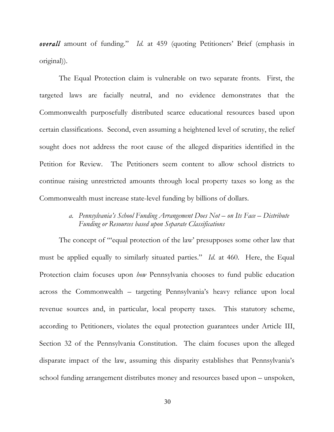*overall* amount of funding." *Id*. at 459 (quoting Petitioners' Brief (emphasis in original)).

The Equal Protection claim is vulnerable on two separate fronts. First, the targeted laws are facially neutral, and no evidence demonstrates that the Commonwealth purposefully distributed scarce educational resources based upon certain classifications. Second, even assuming a heightened level of scrutiny, the relief sought does not address the root cause of the alleged disparities identified in the Petition for Review. The Petitioners seem content to allow school districts to continue raising unrestricted amounts through local property taxes so long as the Commonwealth must increase state-level funding by billions of dollars.

## *a. Pennsylvania's School Funding Arrangement Does Not – on Its Face – Distribute Funding or Resources based upon Separate Classifications*

The concept of "'equal protection of the law' presupposes some other law that must be applied equally to similarly situated parties." *Id*. at 460. Here, the Equal Protection claim focuses upon *how* Pennsylvania chooses to fund public education across the Commonwealth – targeting Pennsylvania's heavy reliance upon local revenue sources and, in particular, local property taxes. This statutory scheme, according to Petitioners, violates the equal protection guarantees under Article III, Section 32 of the Pennsylvania Constitution. The claim focuses upon the alleged disparate impact of the law, assuming this disparity establishes that Pennsylvania's school funding arrangement distributes money and resources based upon – unspoken,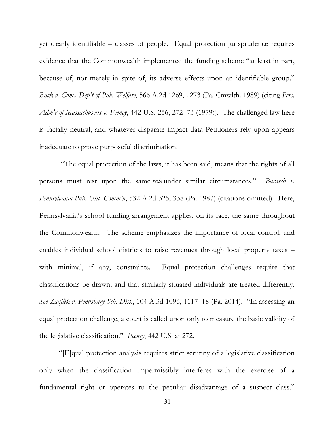yet clearly identifiable – classes of people. Equal protection jurisprudence requires evidence that the Commonwealth implemented the funding scheme "at least in part, because of, not merely in spite of, its adverse effects upon an identifiable group." *Buck v. Com., Dep't of Pub. Welfare*, 566 A.2d 1269, 1273 (Pa. Cmwlth. 1989) (citing *Pers. Adm'r of Massachusetts v. Feeney*, 442 U.S. 256, 272–73 (1979)). The challenged law here is facially neutral, and whatever disparate impact data Petitioners rely upon appears inadequate to prove purposeful discrimination.

"The equal protection of the laws, it has been said, means that the rights of all persons must rest upon the same *rule* under similar circumstances." *Barasch v. Pennsylvania Pub. Util. Comm'n*, 532 A.2d 325, 338 (Pa. 1987) (citations omitted). Here, Pennsylvania's school funding arrangement applies, on its face, the same throughout the Commonwealth. The scheme emphasizes the importance of local control, and enables individual school districts to raise revenues through local property taxes – with minimal, if any, constraints. Equal protection challenges require that classifications be drawn, and that similarly situated individuals are treated differently. *See Zauflik v. Pennsbury Sch. Dist*., 104 A.3d 1096, 1117–18 (Pa. 2014). "In assessing an equal protection challenge, a court is called upon only to measure the basic validity of the legislative classification." *Feeney*, 442 U.S. at 272.

"[E]qual protection analysis requires strict scrutiny of a legislative classification only when the classification impermissibly interferes with the exercise of a fundamental right or operates to the peculiar disadvantage of a suspect class."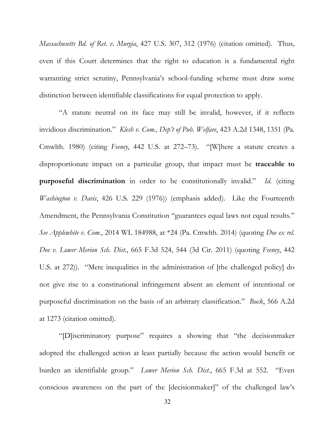*Massachusetts Bd. of Ret. v. Murgia*, 427 U.S. 307, 312 (1976) (citation omitted). Thus, even if this Court determines that the right to education is a fundamental right warranting strict scrutiny, Pennsylvania's school-funding scheme must draw some distinction between identifiable classifications for equal protection to apply.

"A statute neutral on its face may still be invalid, however, if it reflects invidious discrimination." *Klesh v. Com., Dep't of Pub. Welfare*, 423 A.2d 1348, 1351 (Pa. Cmwlth. 1980) (citing *Feeney*, 442 U.S. at 272–73). "[W]here a statute creates a disproportionate impact on a particular group, that impact must be **traceable to purposeful discrimination** in order to be constitutionally invalid." *Id*. (citing *Washington v. Davis*, 426 U.S. 229 (1976)) (emphasis added). Like the Fourteenth Amendment, the Pennsylvania Constitution "guarantees equal laws not equal results." *See Applewhite v. Com.*, 2014 WL 184988, at \*24 (Pa. Cmwlth. 2014) (quoting *Doe ex rel. Doe v. Lower Merion Sch. Dist.*, 665 F.3d 524, 544 (3d Cir. 2011) (quoting *Feeney*, 442 U.S. at 272)). "Mere inequalities in the administration of [the challenged policy] do not give rise to a constitutional infringement absent an element of intentional or purposeful discrimination on the basis of an arbitrary classification." *Buck*, 566 A.2d at 1273 (citation omitted).

"[D]iscriminatory purpose" requires a showing that "the decisionmaker adopted the challenged action at least partially because the action would benefit or burden an identifiable group." *Lower Merion Sch. Dist*., 665 F.3d at 552. "Even conscious awareness on the part of the [decisionmaker]" of the challenged law's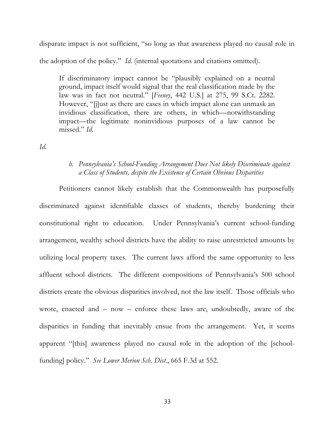disparate impact is not sufficient, "so long as that awareness played no causal role in the adoption of the policy." *Id*. (internal quotations and citations omitted).

If discriminatory impact cannot be "plausibly explained on a neutral ground, impact itself would signal that the real classification made by the law was in fact not neutral." [*Feeney*, 442 U.S.] at 275, 99 S.Ct. 2282. However, "[j]ust as there are cases in which impact alone can unmask an invidious classification, there are others, in which—notwithstanding impact—the legitimate noninvidious purposes of a law cannot be missed." *Id*.

*Id*.

### *b. Pennsylvania's School-Funding Arrangement Does Not likely Discriminate against a Class of Students, despite the Existence of Certain Obvious Disparities*

Petitioners cannot likely establish that the Commonwealth has purposefully discriminated against identifiable classes of students, thereby burdening their constitutional right to education. Under Pennsylvania's current school-funding arrangement, wealthy school districts have the ability to raise unrestricted amounts by utilizing local property taxes. The current laws afford the same opportunity to less affluent school districts. The different compositions of Pennsylvania's 500 school districts create the obvious disparities involved, not the law itself. Those officials who wrote, enacted and – now – enforce these laws are, undoubtedly, aware of the disparities in funding that inevitably ensue from the arrangement. Yet, it seems apparent "[this] awareness played no causal role in the adoption of the [schoolfunding] policy." *See Lower Merion Sch. Dist*., 665 F.3d at 552.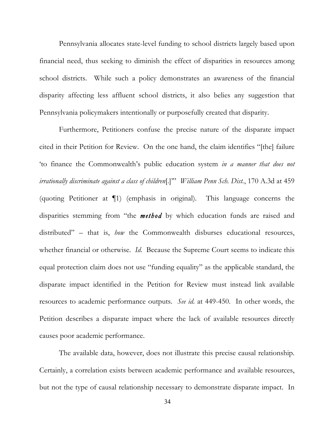Pennsylvania allocates state-level funding to school districts largely based upon financial need, thus seeking to diminish the effect of disparities in resources among school districts. While such a policy demonstrates an awareness of the financial disparity affecting less affluent school districts, it also belies any suggestion that Pennsylvania policymakers intentionally or purposefully created that disparity.

Furthermore, Petitioners confuse the precise nature of the disparate impact cited in their Petition for Review. On the one hand, the claim identifies "[the] failure 'to finance the Commonwealth's public education system *in a manner that does not irrationally discriminate against a class of children*[.]'" *William Penn Sch. Dist.*, 170 A.3d at 459 (quoting Petitioner at ¶1) (emphasis in original). This language concerns the disparities stemming from "the *method* by which education funds are raised and distributed" – that is, *how* the Commonwealth disburses educational resources, whether financial or otherwise. *Id*. Because the Supreme Court seems to indicate this equal protection claim does not use "funding equality" as the applicable standard, the disparate impact identified in the Petition for Review must instead link available resources to academic performance outputs. *See id*. at 449-450. In other words, the Petition describes a disparate impact where the lack of available resources directly causes poor academic performance.

The available data, however, does not illustrate this precise causal relationship. Certainly, a correlation exists between academic performance and available resources, but not the type of causal relationship necessary to demonstrate disparate impact. In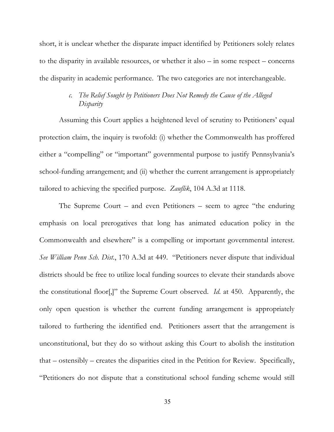short, it is unclear whether the disparate impact identified by Petitioners solely relates to the disparity in available resources, or whether it also – in some respect – concerns the disparity in academic performance. The two categories are not interchangeable.

## *c. The Relief Sought by Petitioners Does Not Remedy the Cause of the Alleged Disparity*

Assuming this Court applies a heightened level of scrutiny to Petitioners' equal protection claim, the inquiry is twofold: (i) whether the Commonwealth has proffered either a "compelling" or "important" governmental purpose to justify Pennsylvania's school-funding arrangement; and (ii) whether the current arrangement is appropriately tailored to achieving the specified purpose. *Zauflik*, 104 A.3d at 1118.

The Supreme Court – and even Petitioners – seem to agree "the enduring emphasis on local prerogatives that long has animated education policy in the Commonwealth and elsewhere" is a compelling or important governmental interest. *See William Penn Sch. Dist.*, 170 A.3d at 449. "Petitioners never dispute that individual districts should be free to utilize local funding sources to elevate their standards above the constitutional floor[,]" the Supreme Court observed. *Id*. at 450. Apparently, the only open question is whether the current funding arrangement is appropriately tailored to furthering the identified end. Petitioners assert that the arrangement is unconstitutional, but they do so without asking this Court to abolish the institution that – ostensibly – creates the disparities cited in the Petition for Review. Specifically, "Petitioners do not dispute that a constitutional school funding scheme would still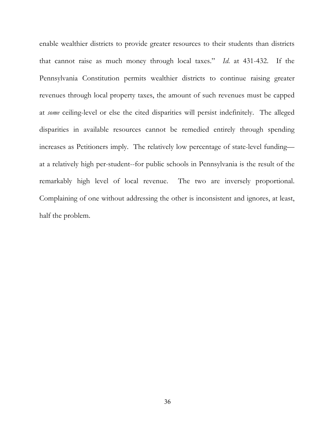enable wealthier districts to provide greater resources to their students than districts that cannot raise as much money through local taxes." *Id*. at 431-432. If the Pennsylvania Constitution permits wealthier districts to continue raising greater revenues through local property taxes, the amount of such revenues must be capped at *some* ceiling-level or else the cited disparities will persist indefinitely. The alleged disparities in available resources cannot be remedied entirely through spending increases as Petitioners imply. The relatively low percentage of state-level funding at a relatively high per-student--for public schools in Pennsylvania is the result of the remarkably high level of local revenue. The two are inversely proportional. Complaining of one without addressing the other is inconsistent and ignores, at least, half the problem.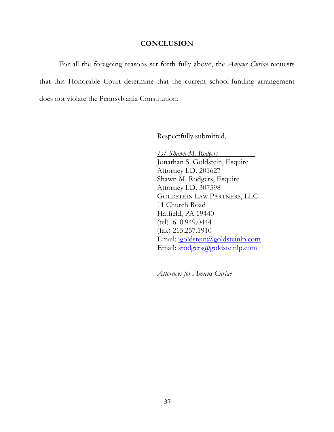#### **CONCLUSION**

For all the foregoing reasons set forth fully above, the *Amicus Curiae* requests that this Honorable Court determine that the current school-funding arrangement does not violate the Pennsylvania Constitution.

Respectfully submitted,

*/s/ Shawn M. Rodgers* Jonathan S. Goldstein, Esquire Attorney I.D. 201627 Shawn M. Rodgers, Esquire Attorney I.D. 307598 GOLDSTEIN LAW PARTNERS, LLC 11 Church Road Hatfield, PA 19440 (tel) 610.949.0444 (fax) 215.257.1910 Email: jgoldstein@goldsteinlp.com Email: srodgers@goldsteinlp.com

*Attorneys for Amicus Curiae*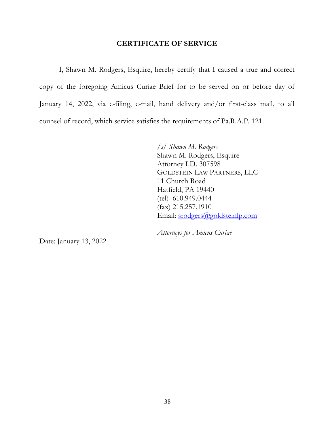#### **CERTIFICATE OF SERVICE**

I, Shawn M. Rodgers, Esquire, hereby certify that I caused a true and correct copy of the foregoing Amicus Curiae Brief for to be served on or before day of January 14, 2022, via e-filing, e-mail, hand delivery and/or first-class mail, to all counsel of record, which service satisfies the requirements of Pa.R.A.P. 121.

> */s/ Shawn M. Rodgers* Shawn M. Rodgers, Esquire Attorney I.D. 307598 GOLDSTEIN LAW PARTNERS, LLC 11 Church Road Hatfield, PA 19440 (tel) 610.949.0444 (fax) 215.257.1910 Email: srodgers@goldsteinlp.com

*Attorneys for Amicus Curiae*

Date: January 13, 2022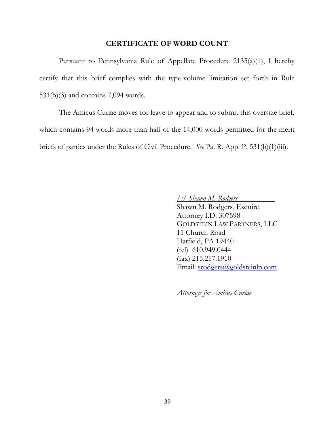#### **CERTIFICATE OF WORD COUNT**

Pursuant to Pennsylvania Rule of Appellate Procedure 2135(a)(1), I hereby certify that this brief complies with the type-volume limitation set forth in Rule 531(b)(3) and contains 7,094 words.

The Amicus Curiae moves for leave to appear and to submit this oversize brief, which contains 94 words more than half of the 14,000 words permitted for the merit briefs of parties under the Rules of Civil Procedure. *See* Pa. R. App. P. 531(b)(1)(iii).

*/s/ Shawn M. Rodgers*

Shawn M. Rodgers, Esquire Attorney I.D. 307598 GOLDSTEIN LAW PARTNERS, LLC 11 Church Road Hatfield, PA 19440 (tel) 610.949.0444 (fax) 215.257.1910 Email: srodgers@goldsteinlp.com

*Attorneys for Amicus Curiae*